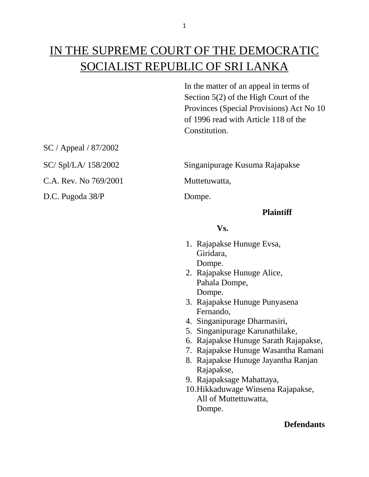# IN THE SUPREME COURT OF THE DEMOCRATIC SOCIALIST REPUBLIC OF SRI LANKA

In the matter of an appeal in terms of Section 5(2) of the High Court of the Provinces (Special Provisions) Act No 10 of 1996 read with Article 118 of the Constitution.

SC / Appeal / 87/2002

C.A. Rev. No 769/2001 Muttetuwatta,

D.C. Pugoda 38/P Dompe.

SC/ Spl/LA/ 158/2002 Singanipurage Kusuma Rajapakse

### **Plaintiff**

### **Vs.**

- 1. Rajapakse Hunuge Evsa, Giridara, Dompe.
- 2. Rajapakse Hunuge Alice, Pahala Dompe, Dompe.
- 3. Rajapakse Hunuge Punyasena Fernando,
- 4. Singanipurage Dharmasiri,
- 5. Singanipurage Karunathilake,
- 6. Rajapakse Hunuge Sarath Rajapakse,
- 7. Rajapakse Hunuge Wasantha Ramani
- 8. Rajapakse Hunuge Jayantha Ranjan Rajapakse,
- 9. Rajapaksage Mahattaya,
- 10.Hikkaduwage Winsena Rajapakse, All of Muttettuwatta, Dompe.

## **Defendants**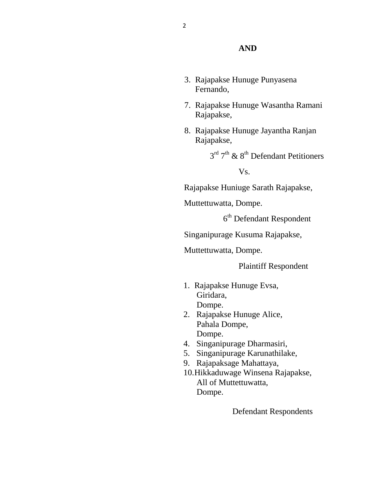#### **AND**

- 3. Rajapakse Hunuge Punyasena Fernando,
- 7. Rajapakse Hunuge Wasantha Ramani Rajapakse,
- 8. Rajapakse Hunuge Jayantha Ranjan Rajapakse,

 $3^{\text{rd}}$   $7^{\text{th}}$  &  $8^{\text{th}}$  Defendant Petitioners

Vs.

Rajapakse Huniuge Sarath Rajapakse,

Muttettuwatta, Dompe.

6 th Defendant Respondent

Singanipurage Kusuma Rajapakse,

Muttettuwatta, Dompe.

Plaintiff Respondent

- 1. Rajapakse Hunuge Evsa, Giridara, Dompe.
- 2. Rajapakse Hunuge Alice, Pahala Dompe, Dompe.
- 4. Singanipurage Dharmasiri,
- 5. Singanipurage Karunathilake,
- 9. Rajapaksage Mahattaya,
- 10.Hikkaduwage Winsena Rajapakse, All of Muttettuwatta, Dompe.

Defendant Respondents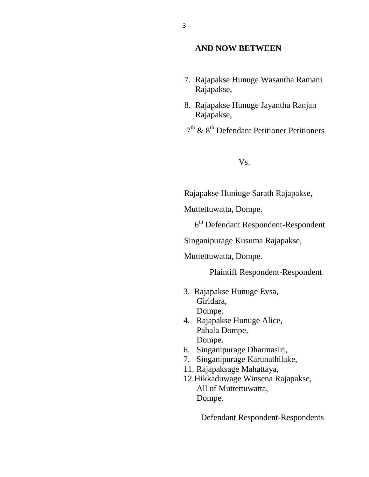#### **AND NOW BETWEEN**

- 7. Rajapakse Hunuge Wasantha Ramani Rajapakse,
- 8. Rajapakse Hunuge Jayantha Ranjan Rajapakse,
- $7<sup>th</sup>$  &  $8<sup>th</sup>$  Defendant Petitioner Petitioners

Vs.

Rajapakse Huniuge Sarath Rajapakse,

Muttettuwatta, Dompe.

6 th Defendant Respondent-Respondent

Singanipurage Kusuma Rajapakse,

Muttettuwatta, Dompe.

Plaintiff Respondent-Respondent

- 3. Rajapakse Hunuge Evsa, Giridara, Dompe.
- 4. Rajapakse Hunuge Alice, Pahala Dompe, Dompe.
- 6. Singanipurage Dharmasiri,
- 7. Singanipurage Karunathilake,
- 11. Rajapaksage Mahattaya,
- 12.Hikkaduwage Winsena Rajapakse, All of Muttettuwatta, Dompe.

Defendant Respondent-Respondents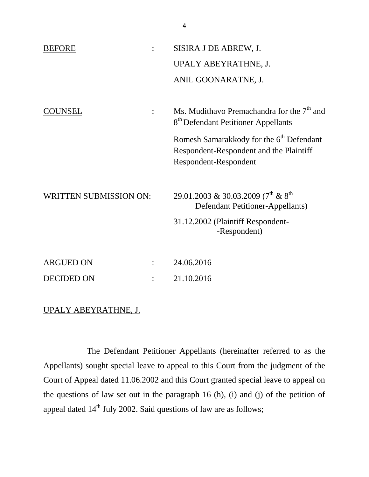| <b>BEFORE</b>                 | SISIRA J DE ABREW, J.                                                                           |
|-------------------------------|-------------------------------------------------------------------------------------------------|
|                               | UPALY ABEYRATHNE, J.                                                                            |
|                               | ANIL GOONARATNE, J.                                                                             |
|                               |                                                                                                 |
| UNSEL<br>$\ddot{\cdot}$       | Ms. Mudithavo Premachandra for the $7th$ and<br>8 <sup>th</sup> Defendant Petitioner Appellants |
|                               | Romesh Samarakkody for the 6 <sup>th</sup> Defendant                                            |
|                               | Respondent-Respondent and the Plaintiff<br>Respondent-Respondent                                |
|                               |                                                                                                 |
| <b>WRITTEN SUBMISSION ON:</b> | 29.01.2003 & 30.03.2009 (7 <sup>th</sup> & 8 <sup>th</sup><br>Defendant Petitioner-Appellants)  |
|                               | 31.12.2002 (Plaintiff Respondent-<br>-Respondent)                                               |
|                               |                                                                                                 |
| <b>ARGUED ON</b>              | 24.06.2016                                                                                      |

# UPALY ABEYRATHNE, J.

DECIDED ON : 21.10.2016

The Defendant Petitioner Appellants (hereinafter referred to as the Appellants) sought special leave to appeal to this Court from the judgment of the Court of Appeal dated 11.06.2002 and this Court granted special leave to appeal on the questions of law set out in the paragraph 16 (h), (i) and (j) of the petition of appeal dated  $14<sup>th</sup>$  July 2002. Said questions of law are as follows;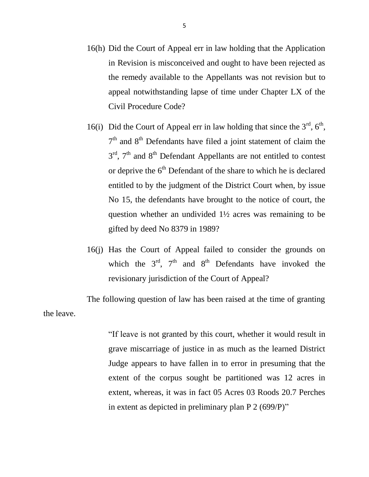- 16(h) Did the Court of Appeal err in law holding that the Application in Revision is misconceived and ought to have been rejected as the remedy available to the Appellants was not revision but to appeal notwithstanding lapse of time under Chapter LX of the Civil Procedure Code?
- 16(i) Did the Court of Appeal err in law holding that since the  $3<sup>rd</sup>$ ,  $6<sup>th</sup>$ ,  $7<sup>th</sup>$  and  $8<sup>th</sup>$  Defendants have filed a joint statement of claim the  $3<sup>rd</sup>$ ,  $7<sup>th</sup>$  and  $8<sup>th</sup>$  Defendant Appellants are not entitled to contest or deprive the  $6<sup>th</sup>$  Defendant of the share to which he is declared entitled to by the judgment of the District Court when, by issue No 15, the defendants have brought to the notice of court, the question whether an undivided 1½ acres was remaining to be gifted by deed No 8379 in 1989?
- 16(j) Has the Court of Appeal failed to consider the grounds on which the  $3<sup>rd</sup>$ ,  $7<sup>th</sup>$  and  $8<sup>th</sup>$  Defendants have invoked the revisionary jurisdiction of the Court of Appeal?

The following question of law has been raised at the time of granting the leave.

> "If leave is not granted by this court, whether it would result in grave miscarriage of justice in as much as the learned District Judge appears to have fallen in to error in presuming that the extent of the corpus sought be partitioned was 12 acres in extent, whereas, it was in fact 05 Acres 03 Roods 20.7 Perches in extent as depicted in preliminary plan P 2 (699/P)"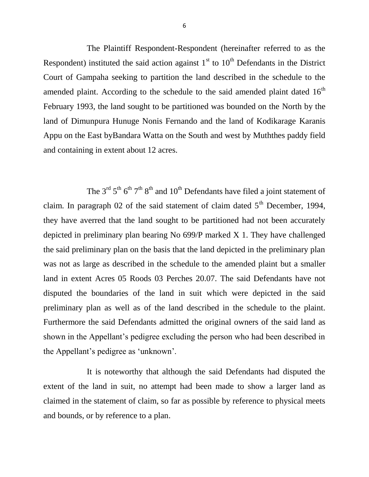The Plaintiff Respondent-Respondent (hereinafter referred to as the Respondent) instituted the said action against  $1<sup>st</sup>$  to  $10<sup>th</sup>$  Defendants in the District Court of Gampaha seeking to partition the land described in the schedule to the amended plaint. According to the schedule to the said amended plaint dated  $16<sup>th</sup>$ February 1993, the land sought to be partitioned was bounded on the North by the land of Dimunpura Hunuge Nonis Fernando and the land of Kodikarage Karanis Appu on the East byBandara Watta on the South and west by Muththes paddy field and containing in extent about 12 acres.

The  $3<sup>rd</sup> 5<sup>th</sup> 6<sup>th</sup> 7<sup>th</sup> 8<sup>th</sup>$  and  $10<sup>th</sup>$  Defendants have filed a joint statement of claim. In paragraph 02 of the said statement of claim dated  $5<sup>th</sup>$  December, 1994, they have averred that the land sought to be partitioned had not been accurately depicted in preliminary plan bearing No 699/P marked X 1. They have challenged the said preliminary plan on the basis that the land depicted in the preliminary plan was not as large as described in the schedule to the amended plaint but a smaller land in extent Acres 05 Roods 03 Perches 20.07. The said Defendants have not disputed the boundaries of the land in suit which were depicted in the said preliminary plan as well as of the land described in the schedule to the plaint. Furthermore the said Defendants admitted the original owners of the said land as shown in the Appellant's pedigree excluding the person who had been described in the Appellant's pedigree as 'unknown'.

It is noteworthy that although the said Defendants had disputed the extent of the land in suit, no attempt had been made to show a larger land as claimed in the statement of claim, so far as possible by reference to physical meets and bounds, or by reference to a plan.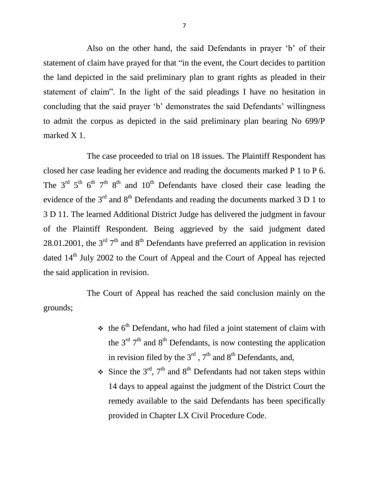Also on the other hand, the said Defendants in prayer 'b' of their statement of claim have prayed for that "in the event, the Court decides to partition the land depicted in the said preliminary plan to grant rights as pleaded in their statement of claim". In the light of the said pleadings I have no hesitation in concluding that the said prayer 'b' demonstrates the said Defendants' willingness to admit the corpus as depicted in the said preliminary plan bearing No 699/P marked X 1.

The case proceeded to trial on 18 issues. The Plaintiff Respondent has closed her case leading her evidence and reading the documents marked P 1 to P 6. The  $3<sup>rd</sup> 5<sup>th</sup> 6<sup>th</sup> 7<sup>th</sup> 8<sup>th</sup>$  and  $10<sup>th</sup>$  Defendants have closed their case leading the evidence of the  $3<sup>rd</sup>$  and  $8<sup>th</sup>$  Defendants and reading the documents marked 3 D 1 to 3 D 11. The learned Additional District Judge has delivered the judgment in favour of the Plaintiff Respondent. Being aggrieved by the said judgment dated 28.01.2001, the  $3<sup>rd</sup> 7<sup>th</sup>$  and  $8<sup>th</sup>$  Defendants have preferred an application in revision dated 14<sup>th</sup> July 2002 to the Court of Appeal and the Court of Appeal has rejected the said application in revision.

The Court of Appeal has reached the said conclusion mainly on the grounds;

- $\cdot$  the 6<sup>th</sup> Defendant, who had filed a joint statement of claim with the  $3<sup>rd</sup>$  7<sup>th</sup> and 8<sup>th</sup> Defendants, is now contesting the application in revision filed by the  $3<sup>rd</sup>$ ,  $7<sup>th</sup>$  and  $8<sup>th</sup>$  Defendants, and,
- $\div$  Since the 3<sup>rd</sup>, 7<sup>th</sup> and 8<sup>th</sup> Defendants had not taken steps within 14 days to appeal against the judgment of the District Court the remedy available to the said Defendants has been specifically provided in Chapter LX Civil Procedure Code.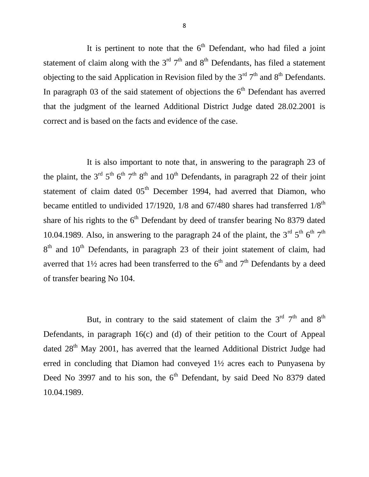It is pertinent to note that the  $6<sup>th</sup>$  Defendant, who had filed a joint statement of claim along with the  $3<sup>rd</sup> 7<sup>th</sup>$  and  $8<sup>th</sup>$  Defendants, has filed a statement objecting to the said Application in Revision filed by the  $3<sup>rd</sup> 7<sup>th</sup>$  and  $8<sup>th</sup>$  Defendants. In paragraph 03 of the said statement of objections the  $6<sup>th</sup>$  Defendant has averred that the judgment of the learned Additional District Judge dated 28.02.2001 is correct and is based on the facts and evidence of the case.

It is also important to note that, in answering to the paragraph 23 of the plaint, the 3<sup>rd</sup> 5<sup>th</sup> 6<sup>th</sup> 7<sup>th</sup> 8<sup>th</sup> and 10<sup>th</sup> Defendants, in paragraph 22 of their joint statement of claim dated  $05<sup>th</sup>$  December 1994, had averred that Diamon, who became entitled to undivided 17/1920,  $1/8$  and  $67/480$  shares had transferred  $1/8<sup>th</sup>$ share of his rights to the  $6<sup>th</sup>$  Defendant by deed of transfer bearing No 8379 dated 10.04.1989. Also, in answering to the paragraph 24 of the plaint, the  $3<sup>rd</sup> 5<sup>th</sup> 6<sup>th</sup> 7<sup>th</sup>$  $8<sup>th</sup>$  and  $10<sup>th</sup>$  Defendants, in paragraph 23 of their joint statement of claim, had averred that  $1\frac{1}{2}$  acres had been transferred to the 6<sup>th</sup> and 7<sup>th</sup> Defendants by a deed of transfer bearing No 104.

But, in contrary to the said statement of claim the  $3<sup>rd</sup> 7<sup>th</sup>$  and  $8<sup>th</sup>$ Defendants, in paragraph 16(c) and (d) of their petition to the Court of Appeal dated 28<sup>th</sup> May 2001, has averred that the learned Additional District Judge had erred in concluding that Diamon had conveyed 1½ acres each to Punyasena by Deed No 3997 and to his son, the  $6<sup>th</sup>$  Defendant, by said Deed No 8379 dated 10.04.1989.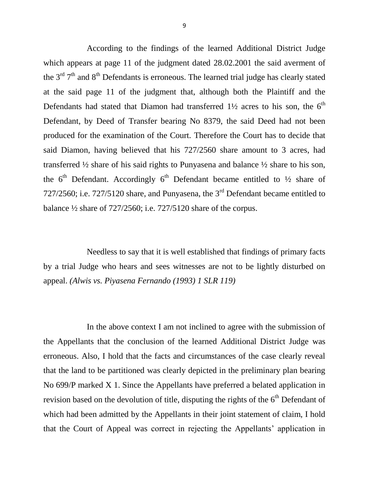According to the findings of the learned Additional District Judge which appears at page 11 of the judgment dated 28.02.2001 the said averment of the  $3<sup>rd</sup> 7<sup>th</sup>$  and  $8<sup>th</sup>$  Defendants is erroneous. The learned trial judge has clearly stated at the said page 11 of the judgment that, although both the Plaintiff and the Defendants had stated that Diamon had transferred  $1\frac{1}{2}$  acres to his son, the  $6<sup>th</sup>$ Defendant, by Deed of Transfer bearing No 8379, the said Deed had not been produced for the examination of the Court. Therefore the Court has to decide that said Diamon, having believed that his 727/2560 share amount to 3 acres, had transferred ½ share of his said rights to Punyasena and balance ½ share to his son, the  $6<sup>th</sup>$  Defendant. Accordingly  $6<sup>th</sup>$  Defendant became entitled to  $\frac{1}{2}$  share of 727/2560; i.e. 727/5120 share, and Punyasena, the 3rd Defendant became entitled to balance ½ share of 727/2560; i.e. 727/5120 share of the corpus.

Needless to say that it is well established that findings of primary facts by a trial Judge who hears and sees witnesses are not to be lightly disturbed on appeal. *(Alwis vs. Piyasena Fernando (1993) 1 SLR 119)* 

In the above context I am not inclined to agree with the submission of the Appellants that the conclusion of the learned Additional District Judge was erroneous. Also, I hold that the facts and circumstances of the case clearly reveal that the land to be partitioned was clearly depicted in the preliminary plan bearing No 699/P marked X 1. Since the Appellants have preferred a belated application in revision based on the devolution of title, disputing the rights of the  $6<sup>th</sup>$  Defendant of which had been admitted by the Appellants in their joint statement of claim, I hold that the Court of Appeal was correct in rejecting the Appellants' application in